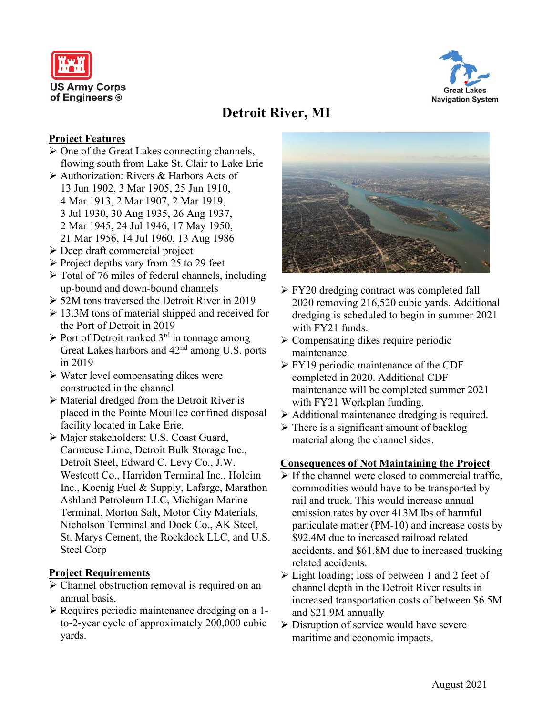



# **Detroit River, MI**

## **Project Features**

- $\triangleright$  One of the Great Lakes connecting channels, flowing south from Lake St. Clair to Lake Erie
- Authorization: Rivers & Harbors Acts of 13 Jun 1902, 3 Mar 1905, 25 Jun 1910, 4 Mar 1913, 2 Mar 1907, 2 Mar 1919, 3 Jul 1930, 30 Aug 1935, 26 Aug 1937, 2 Mar 1945, 24 Jul 1946, 17 May 1950, 21 Mar 1956, 14 Jul 1960, 13 Aug 1986
- $\triangleright$  Deep draft commercial project
- $\triangleright$  Project depths vary from 25 to 29 feet
- $\triangleright$  Total of 76 miles of federal channels, including up-bound and down-bound channels
- 52M tons traversed the Detroit River in 2019
- $\geq 13.3M$  tons of material shipped and received for the Port of Detroit in 2019
- $\triangleright$  Port of Detroit ranked 3<sup>rd</sup> in tonnage among Great Lakes harbors and 42nd among U.S. ports in 2019
- $\triangleright$  Water level compensating dikes were constructed in the channel
- Material dredged from the Detroit River is placed in the Pointe Mouillee confined disposal facility located in Lake Erie.
- Major stakeholders: U.S. Coast Guard, Carmeuse Lime, Detroit Bulk Storage Inc., Detroit Steel, Edward C. Levy Co., J.W. Westcott Co., Harridon Terminal Inc., Holcim Inc., Koenig Fuel & Supply, Lafarge, Marathon Ashland Petroleum LLC, Michigan Marine Terminal, Morton Salt, Motor City Materials, Nicholson Terminal and Dock Co., AK Steel, St. Marys Cement, the Rockdock LLC, and U.S. Steel Corp

### **Project Requirements**

- Channel obstruction removal is required on an annual basis.
- Requires periodic maintenance dredging on a 1 to-2-year cycle of approximately 200,000 cubic yards.



- $\triangleright$  FY20 dredging contract was completed fall 2020 removing 216,520 cubic yards. Additional dredging is scheduled to begin in summer 2021 with FY21 funds.
- $\triangleright$  Compensating dikes require periodic maintenance.
- **FY19** periodic maintenance of the CDF completed in 2020. Additional CDF maintenance will be completed summer 2021 with FY21 Workplan funding.
- $\triangleright$  Additional maintenance dredging is required.
- $\triangleright$  There is a significant amount of backlog material along the channel sides.

### **Consequences of Not Maintaining the Project**

- $\triangleright$  If the channel were closed to commercial traffic, commodities would have to be transported by rail and truck. This would increase annual emission rates by over 413M lbs of harmful particulate matter (PM-10) and increase costs by \$92.4M due to increased railroad related accidents, and \$61.8M due to increased trucking related accidents.
- $\triangleright$  Light loading; loss of between 1 and 2 feet of channel depth in the Detroit River results in increased transportation costs of between \$6.5M and \$21.9M annually
- $\triangleright$  Disruption of service would have severe maritime and economic impacts.